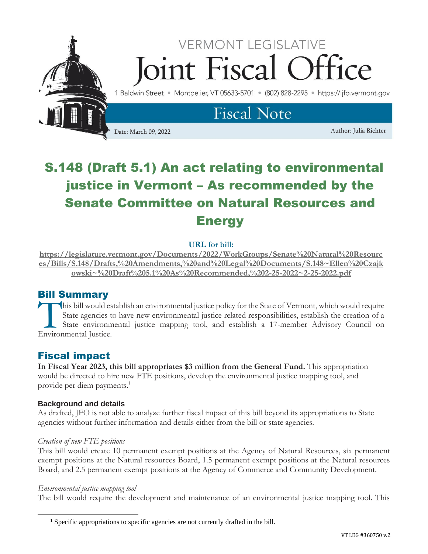

# S.148 (Draft 5.1) An act relating to environmental justice in Vermont – As recommended by the Senate Committee on Natural Resources and **Energy**

## **URL for bill:**

**[https://legislature.vermont.gov/Documents/2022/WorkGroups/Senate%20Natural%20Resourc](https://legislature.vermont.gov/Documents/2022/WorkGroups/Senate%20Natural%20Resources/Bills/S.148/Drafts,%20Amendments,%20and%20Legal%20Documents/S.148~Ellen%20Czajkowski~%20Draft%205.1%20As%20Recommended,%202-25-2022~2-25-2022.pdf) [es/Bills/S.148/Drafts,%20Amendments,%20and%20Legal%20Documents/S.148~Ellen%20Czajk](https://legislature.vermont.gov/Documents/2022/WorkGroups/Senate%20Natural%20Resources/Bills/S.148/Drafts,%20Amendments,%20and%20Legal%20Documents/S.148~Ellen%20Czajkowski~%20Draft%205.1%20As%20Recommended,%202-25-2022~2-25-2022.pdf) [owski~%20Draft%205.1%20As%20Recommended,%202-25-2022~2-25-2022.pdf](https://legislature.vermont.gov/Documents/2022/WorkGroups/Senate%20Natural%20Resources/Bills/S.148/Drafts,%20Amendments,%20and%20Legal%20Documents/S.148~Ellen%20Czajkowski~%20Draft%205.1%20As%20Recommended,%202-25-2022~2-25-2022.pdf)**

# Bill Summary

his bill would establish an environmental justice policy for the State of Vermont, which would require State agencies to have new environmental justice related responsibilities, establish the creation of a State environmental justice mapping tool, and establish a 17-member Advisory Council on This bill would es<br>
State agencies to<br>
State environmental Justice.

# Fiscal impact

**In Fiscal Year 2023, this bill appropriates \$3 million from the General Fund.** This appropriation would be directed to hire new FTE positions, develop the environmental justice mapping tool, and provide per diem payments.<sup>1</sup>

## **Background and details**

As drafted, JFO is not able to analyze further fiscal impact of this bill beyond its appropriations to State agencies without further information and details either from the bill or state agencies.

#### *Creation of new FTE positions*

This bill would create 10 permanent exempt positions at the Agency of Natural Resources, six permanent exempt positions at the Natural resources Board, 1.5 permanent exempt positions at the Natural resources Board, and 2.5 permanent exempt positions at the Agency of Commerce and Community Development.

#### *Environmental justice mapping tool*

The bill would require the development and maintenance of an environmental justice mapping tool. This

<sup>&</sup>lt;sup>1</sup> Specific appropriations to specific agencies are not currently drafted in the bill.